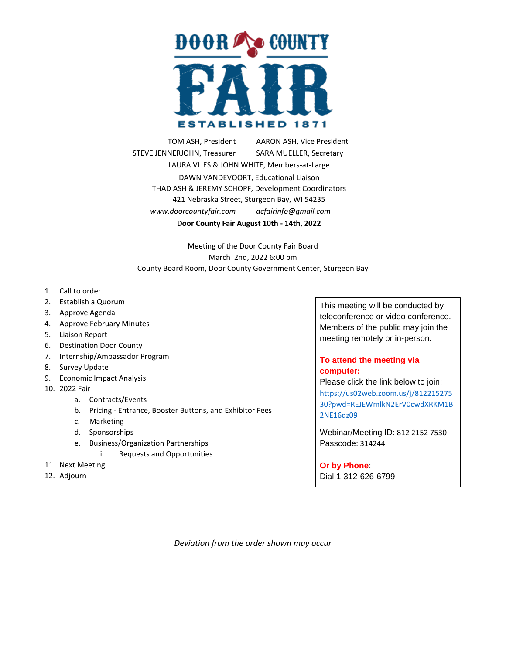

TOM ASH, President ... AARON ASH, Vice President STEVE JENNERJOHN, Treasurer SARA MUELLER, Secretary LAURA VLIES & JOHN WHITE, Members-at-Large DAWN VANDEVOORT, Educational Liaison THAD ASH & JEREMY SCHOPF, Development Coordinators 421 Nebraska Street, Sturgeon Bay, WI 54235 *www.doorcountyfair.com . dcfairinfo@gmail.com* **Door County Fair August 10th - 14th, 2022**

Meeting of the Door County Fair Board March 2nd, 2022 6:00 pm County Board Room, Door County Government Center, Sturgeon Bay

- 1. Call to order
- 2. Establish a Quorum
- 3. Approve Agenda
- 4. Approve February Minutes
- 5. Liaison Report
- 6. Destination Door County
- 7. Internship/Ambassador Program
- 8. Survey Update
- 9. Economic Impact Analysis
- 10. 2022 Fair
	- a. Contracts/Events
	- b. Pricing Entrance, Booster Buttons, and Exhibitor Fees
	- c. Marketing
	- d. Sponsorships
	- e. Business/Organization Partnerships
		- i. Requests and Opportunities
- 11. Next Meeting
- 12. Adjourn

This meeting will be conducted by teleconference or video conference. Members of the public may join the meeting remotely or in-person.

## **To attend the meeting via computer:**

Please click the link below to join: [https://us02web.zoom.us/j/812215275](https://us02web.zoom.us/j/81221527530?pwd=REJEWmlkN2ErV0cwdXRKM1B2NE16dz09) [30?pwd=REJEWmlkN2ErV0cwdXRKM1B](https://us02web.zoom.us/j/81221527530?pwd=REJEWmlkN2ErV0cwdXRKM1B2NE16dz09) [2NE16dz09](https://us02web.zoom.us/j/81221527530?pwd=REJEWmlkN2ErV0cwdXRKM1B2NE16dz09)

Webinar/Meeting ID: 812 2152 7530 Passcode: 314244

## **Or by Phone**:

Dial:1-312-626-6799

*Deviation from the order shown may occur*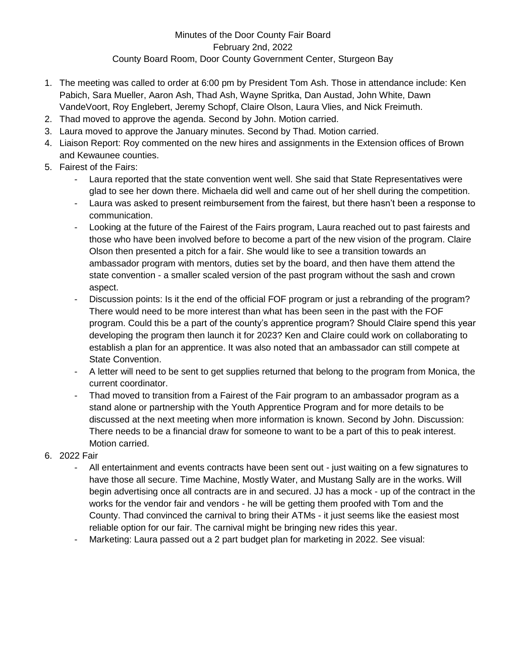## Minutes of the Door County Fair Board February 2nd, 2022 County Board Room, Door County Government Center, Sturgeon Bay

- 1. The meeting was called to order at 6:00 pm by President Tom Ash. Those in attendance include: Ken Pabich, Sara Mueller, Aaron Ash, Thad Ash, Wayne Spritka, Dan Austad, John White, Dawn VandeVoort, Roy Englebert, Jeremy Schopf, Claire Olson, Laura Vlies, and Nick Freimuth.
- 2. Thad moved to approve the agenda. Second by John. Motion carried.
- 3. Laura moved to approve the January minutes. Second by Thad. Motion carried.
- 4. Liaison Report: Roy commented on the new hires and assignments in the Extension offices of Brown and Kewaunee counties.
- 5. Fairest of the Fairs:
	- Laura reported that the state convention went well. She said that State Representatives were glad to see her down there. Michaela did well and came out of her shell during the competition.
	- Laura was asked to present reimbursement from the fairest, but there hasn't been a response to communication.
	- Looking at the future of the Fairest of the Fairs program, Laura reached out to past fairests and those who have been involved before to become a part of the new vision of the program. Claire Olson then presented a pitch for a fair. She would like to see a transition towards an ambassador program with mentors, duties set by the board, and then have them attend the state convention - a smaller scaled version of the past program without the sash and crown aspect.
	- Discussion points: Is it the end of the official FOF program or just a rebranding of the program? There would need to be more interest than what has been seen in the past with the FOF program. Could this be a part of the county's apprentice program? Should Claire spend this year developing the program then launch it for 2023? Ken and Claire could work on collaborating to establish a plan for an apprentice. It was also noted that an ambassador can still compete at State Convention.
	- A letter will need to be sent to get supplies returned that belong to the program from Monica, the current coordinator.
	- Thad moved to transition from a Fairest of the Fair program to an ambassador program as a stand alone or partnership with the Youth Apprentice Program and for more details to be discussed at the next meeting when more information is known. Second by John. Discussion: There needs to be a financial draw for someone to want to be a part of this to peak interest. Motion carried.
- 6. 2022 Fair
	- All entertainment and events contracts have been sent out just waiting on a few signatures to have those all secure. Time Machine, Mostly Water, and Mustang Sally are in the works. Will begin advertising once all contracts are in and secured. JJ has a mock - up of the contract in the works for the vendor fair and vendors - he will be getting them proofed with Tom and the County. Thad convinced the carnival to bring their ATMs - it just seems like the easiest most reliable option for our fair. The carnival might be bringing new rides this year.
	- Marketing: Laura passed out a 2 part budget plan for marketing in 2022. See visual: